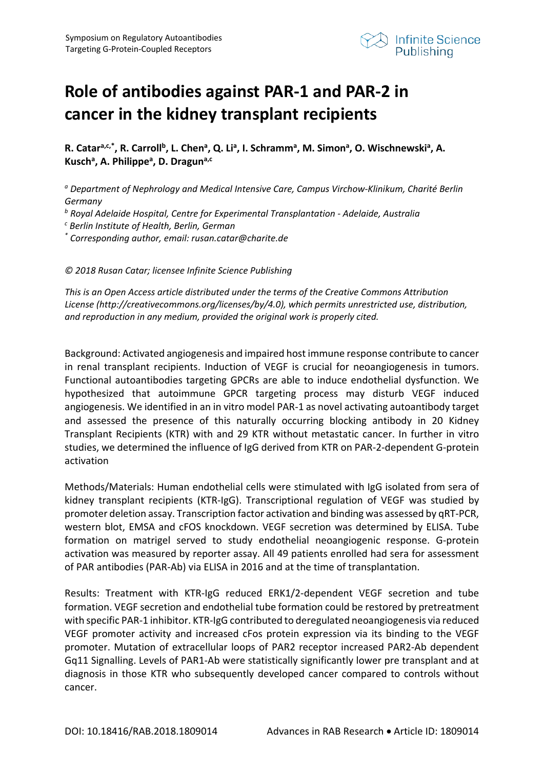

## **Role of antibodies against PAR-1 and PAR-2 in cancer in the kidney transplant recipients**

R. Catar<sup>a,c,\*</sup>, R. Carroll<sup>b</sup>, L. Chen<sup>a</sup>, Q. Li<sup>a</sup>, I. Schramm<sup>a</sup>, M. Simon<sup>a</sup>, O. Wischnewski<sup>a</sup>, A. **Kuscha , A. Philippea , D. Draguna,c**

*<sup>a</sup> Department of Nephrology and Medical Intensive Care, Campus Virchow-Klinikum, Charité Berlin Germany*

*<sup>b</sup> Royal Adelaide Hospital, Centre for Experimental Transplantation - Adelaide, Australia*

*<sup>c</sup> Berlin Institute of Health, Berlin, German*

*\* Corresponding author, email: rusan.catar@charite.de*

*© 2018 Rusan Catar; licensee Infinite Science Publishing*

*This is an Open Access article distributed under the terms of the Creative Commons Attribution License (http://creativecommons.org/licenses/by/4.0), which permits unrestricted use, distribution, and reproduction in any medium, provided the original work is properly cited.*

Background: Activated angiogenesis and impaired host immune response contribute to cancer in renal transplant recipients. Induction of VEGF is crucial for neoangiogenesis in tumors. Functional autoantibodies targeting GPCRs are able to induce endothelial dysfunction. We hypothesized that autoimmune GPCR targeting process may disturb VEGF induced angiogenesis. We identified in an in vitro model PAR-1 as novel activating autoantibody target and assessed the presence of this naturally occurring blocking antibody in 20 Kidney Transplant Recipients (KTR) with and 29 KTR without metastatic cancer. In further in vitro studies, we determined the influence of IgG derived from KTR on PAR-2-dependent G-protein activation

Methods/Materials: Human endothelial cells were stimulated with IgG isolated from sera of kidney transplant recipients (KTR-IgG). Transcriptional regulation of VEGF was studied by promoter deletion assay. Transcription factor activation and binding was assessed by qRT-PCR, western blot, EMSA and cFOS knockdown. VEGF secretion was determined by ELISA. Tube formation on matrigel served to study endothelial neoangiogenic response. G-protein activation was measured by reporter assay. All 49 patients enrolled had sera for assessment of PAR antibodies (PAR-Ab) via ELISA in 2016 and at the time of transplantation.

Results: Treatment with KTR-IgG reduced ERK1/2-dependent VEGF secretion and tube formation. VEGF secretion and endothelial tube formation could be restored by pretreatment with specific PAR-1 inhibitor. KTR-IgG contributed to deregulated neoangiogenesis via reduced VEGF promoter activity and increased cFos protein expression via its binding to the VEGF promoter. Mutation of extracellular loops of PAR2 receptor increased PAR2-Ab dependent Gq11 Signalling. Levels of PAR1-Ab were statistically significantly lower pre transplant and at diagnosis in those KTR who subsequently developed cancer compared to controls without cancer.